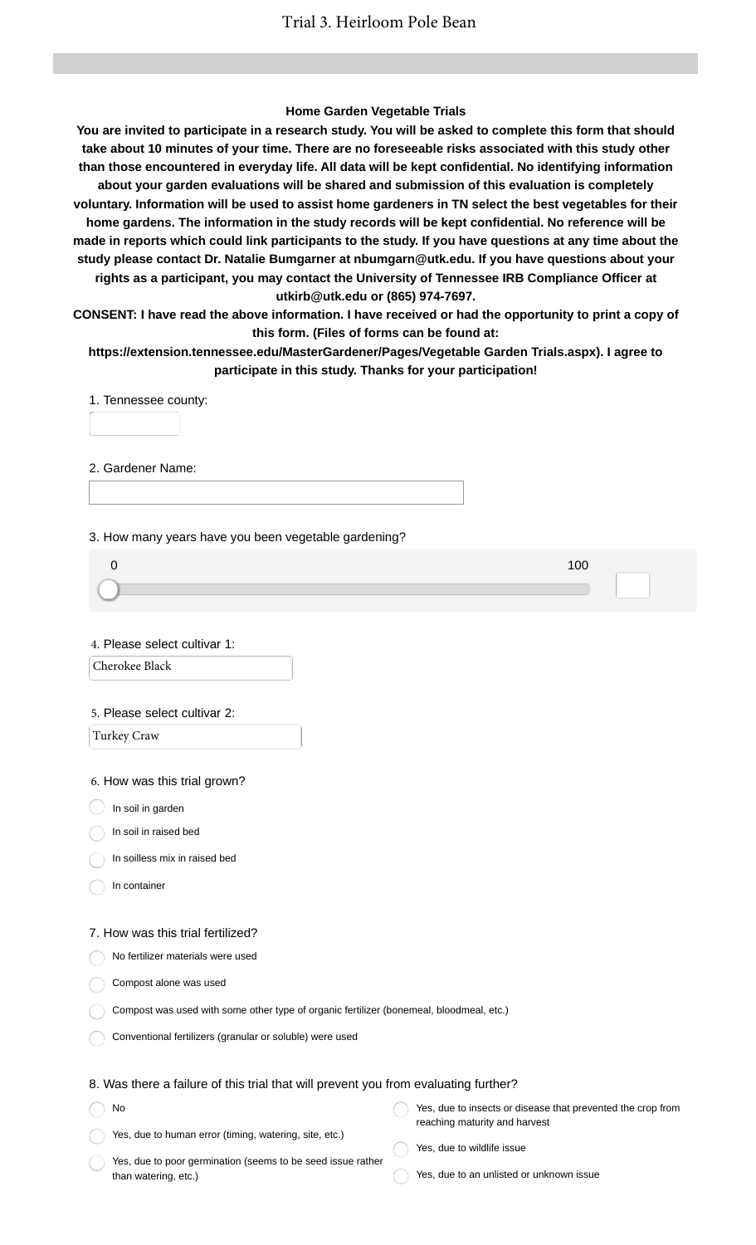## **Home Garden Vegetable Trials**

**You are invited to participate in a research study. You will be asked to complete this form that should take about 10 minutes of your time. There are no foreseeable risks associated with this study other than those encountered in everyday life. All data will be kept confidential. No identifying information about your garden evaluations will be shared and submission of this evaluation is completely voluntary. Information will be used to assist home gardeners in TN select the best vegetables for their home gardens. The information in the study records will be kept confidential. No reference will be made in reports which could link participants to the study. If you have questions at any time about the study please contact Dr. Natalie Bumgarner at nbumgarn@utk.edu. If you have questions about your rights as a participant, you may contact the University of Tennessee IRB Compliance Officer at utkirb@utk.edu or (865) 974-7697.**

**CONSENT: I have read the above information. I have received or had the opportunity to print a copy of this form. (Files of forms can be found at:**

**https://extension.tennessee.edu/MasterGardener/Pages/Vegetable Garden Trials.aspx). I agree to participate in this study. Thanks for your participation!**

1. Tennessee county:

2. Gardener Name:

3. How many years have you been vegetable gardening?

4. Please select cultivar 1:

Cherokee Black

#### 5. Please select cultivar 2:

Turkey Craw

6. How was this trial grown?

 $\big)$  In soil in garden

In soil in raised bed

In soilless mix in raised bed

In container

No

### 7. How was this trial fertilized?

No fertilizer materials were used

Compost alone was used

| Compost was used with some other type of organic fertilizer (bonemeal, bloodmeal, etc.) |  |  |
|-----------------------------------------------------------------------------------------|--|--|
|-----------------------------------------------------------------------------------------|--|--|

Conventional fertilizers (granular or soluble) were used

## 8. Was there a failure of this trial that will prevent you from evaluating further?

Yes, due to human error (timing, watering, site, etc.) Yes, due to insects or disease that prevented the crop from reaching maturity and harvest

Yes, due to poor germination (seems to be seed issue rather than watering, etc.)

- Yes, due to wildlife issue
- Yes, due to an unlisted or unknown issue